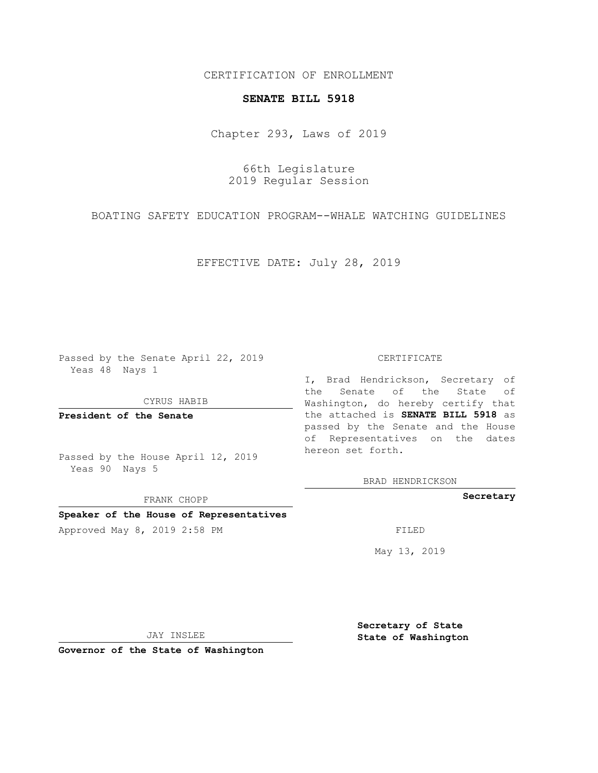## CERTIFICATION OF ENROLLMENT

## **SENATE BILL 5918**

Chapter 293, Laws of 2019

66th Legislature 2019 Regular Session

BOATING SAFETY EDUCATION PROGRAM--WHALE WATCHING GUIDELINES

EFFECTIVE DATE: July 28, 2019

Passed by the Senate April 22, 2019 Yeas 48 Nays 1

CYRUS HABIB

**President of the Senate**

Passed by the House April 12, 2019 Yeas 90 Nays 5

FRANK CHOPP

**Speaker of the House of Representatives**

Approved May 8, 2019 2:58 PM

#### CERTIFICATE

I, Brad Hendrickson, Secretary of the Senate of the State of Washington, do hereby certify that the attached is **SENATE BILL 5918** as passed by the Senate and the House of Representatives on the dates hereon set forth.

BRAD HENDRICKSON

**Secretary**

May 13, 2019

JAY INSLEE

**Governor of the State of Washington**

**Secretary of State State of Washington**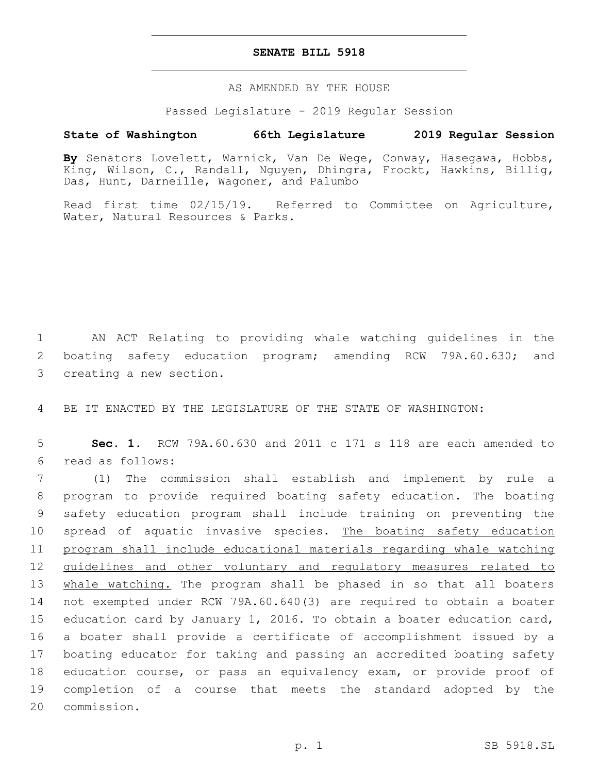## **SENATE BILL 5918**

AS AMENDED BY THE HOUSE

Passed Legislature - 2019 Regular Session

# **State of Washington 66th Legislature 2019 Regular Session**

**By** Senators Lovelett, Warnick, Van De Wege, Conway, Hasegawa, Hobbs, King, Wilson, C., Randall, Nguyen, Dhingra, Frockt, Hawkins, Billig, Das, Hunt, Darneille, Wagoner, and Palumbo

Read first time 02/15/19. Referred to Committee on Agriculture, Water, Natural Resources & Parks.

1 AN ACT Relating to providing whale watching guidelines in the 2 boating safety education program; amending RCW 79A.60.630; and 3 creating a new section.

4 BE IT ENACTED BY THE LEGISLATURE OF THE STATE OF WASHINGTON:

5 **Sec. 1.** RCW 79A.60.630 and 2011 c 171 s 118 are each amended to read as follows:6

 (1) The commission shall establish and implement by rule a program to provide required boating safety education. The boating safety education program shall include training on preventing the 10 spread of aquatic invasive species. The boating safety education program shall include educational materials regarding whale watching 12 guidelines and other voluntary and regulatory measures related to 13 whale watching. The program shall be phased in so that all boaters not exempted under RCW 79A.60.640(3) are required to obtain a boater education card by January 1, 2016. To obtain a boater education card, a boater shall provide a certificate of accomplishment issued by a boating educator for taking and passing an accredited boating safety education course, or pass an equivalency exam, or provide proof of completion of a course that meets the standard adopted by the 20 commission.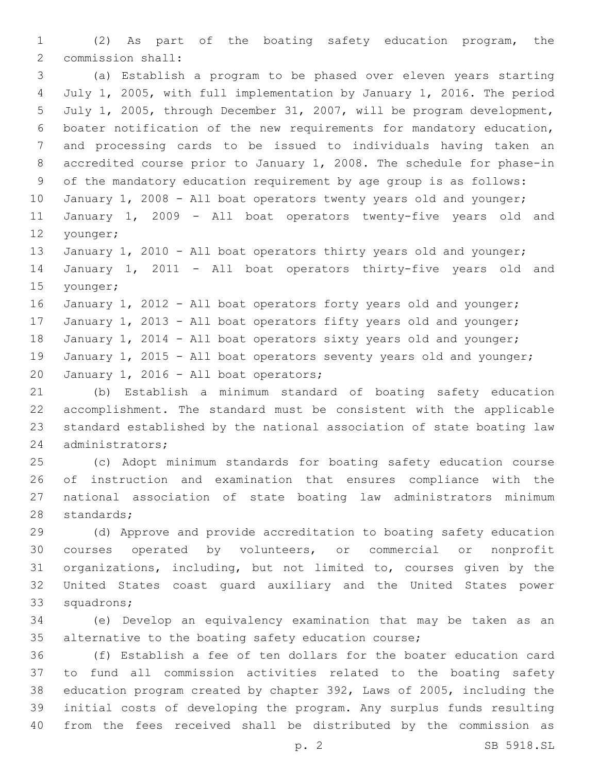(2) As part of the boating safety education program, the 2 commission shall:

 (a) Establish a program to be phased over eleven years starting July 1, 2005, with full implementation by January 1, 2016. The period July 1, 2005, through December 31, 2007, will be program development, boater notification of the new requirements for mandatory education, and processing cards to be issued to individuals having taken an accredited course prior to January 1, 2008. The schedule for phase-in of the mandatory education requirement by age group is as follows: 10 January 1, 2008 - All boat operators twenty years old and younger; January 1, 2009 - All boat operators twenty-five years old and

12 younger;

13 January 1, 2010 - All boat operators thirty years old and younger; January 1, 2011 - All boat operators thirty-five years old and 15 younger;

16 January 1, 2012 - All boat operators forty years old and younger; 17 January 1, 2013 - All boat operators fifty years old and younger; 18 January 1, 2014 - All boat operators sixty years old and younger; 19 January 1, 2015 - All boat operators seventy years old and younger; 20 January 1, 2016 - All boat operators;

 (b) Establish a minimum standard of boating safety education accomplishment. The standard must be consistent with the applicable standard established by the national association of state boating law 24 administrators;

 (c) Adopt minimum standards for boating safety education course of instruction and examination that ensures compliance with the national association of state boating law administrators minimum 28 standards;

 (d) Approve and provide accreditation to boating safety education courses operated by volunteers, or commercial or nonprofit organizations, including, but not limited to, courses given by the United States coast guard auxiliary and the United States power 33 squadrons;

 (e) Develop an equivalency examination that may be taken as an alternative to the boating safety education course;

 (f) Establish a fee of ten dollars for the boater education card to fund all commission activities related to the boating safety education program created by chapter 392, Laws of 2005, including the initial costs of developing the program. Any surplus funds resulting from the fees received shall be distributed by the commission as